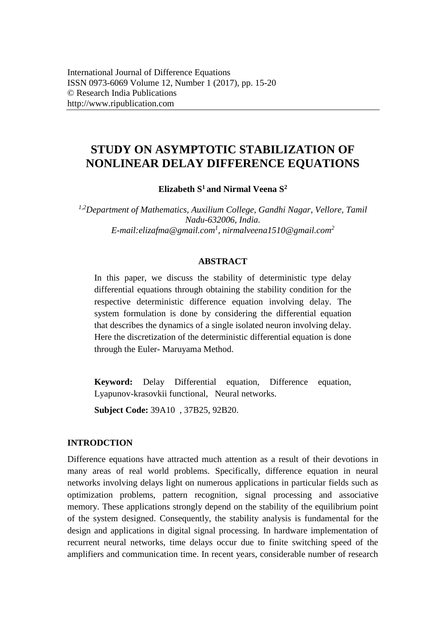# **STUDY ON ASYMPTOTIC STABILIZATION OF NONLINEAR DELAY DIFFERENCE EQUATIONS**

**Elizabeth S<sup>1</sup>and Nirmal Veena S<sup>2</sup>**

*1,2Department of Mathematics, Auxilium College, Gandhi Nagar, Vellore, Tamil Nadu-632006, India. E-mail:elizafma@gmail.com<sup>1</sup> , nirmalveena1510@gmail.com<sup>2</sup>*

## **ABSTRACT**

In this paper, we discuss the stability of deterministic type delay differential equations through obtaining the stability condition for the respective deterministic difference equation involving delay. The system formulation is done by considering the differential equation that describes the dynamics of a single isolated neuron involving delay. Here the discretization of the deterministic differential equation is done through the Euler- Maruyama Method.

**Keyword:** Delay Differential equation, Difference equation, Lyapunov-krasovkii functional, Neural networks.

**Subject Code:** 39A10 , 37B25, 92B20.

#### **INTRODCTION**

Difference equations have attracted much attention as a result of their devotions in many areas of real world problems. Specifically, difference equation in neural networks involving delays light on numerous applications in particular fields such as optimization problems, pattern recognition, signal processing and associative memory. These applications strongly depend on the stability of the equilibrium point of the system designed. Consequently, the stability analysis is fundamental for the design and applications in digital signal processing. In hardware implementation of recurrent neural networks, time delays occur due to finite switching speed of the amplifiers and communication time. In recent years, considerable number of research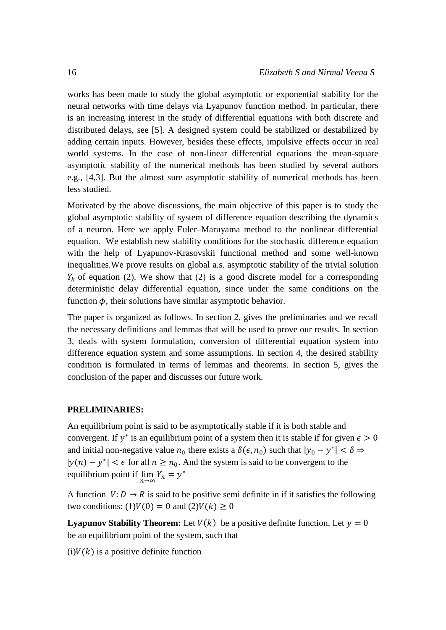works has been made to study the global asymptotic or exponential stability for the neural networks with time delays via Lyapunov function method. In particular, there is an increasing interest in the study of differential equations with both discrete and distributed delays, see [5]. A designed system could be stabilized or destabilized by adding certain inputs. However, besides these effects, impulsive effects occur in real world systems. In the case of non-linear differential equations the mean-square asymptotic stability of the numerical methods has been studied by several authors e.g., [4,3]. But the almost sure asymptotic stability of numerical methods has been less studied.

Motivated by the above discussions, the main objective of this paper is to study the global asymptotic stability of system of difference equation describing the dynamics of a neuron. Here we apply Euler–Maruyama method to the nonlinear differential equation. We establish new stability conditions for the stochastic difference equation with the help of Lyapunov-Krasovskii functional method and some well-known inequalities.We prove results on global a.s. asymptotic stability of the trivial solution  $Y_k$  of equation (2). We show that (2) is a good discrete model for a corresponding deterministic delay differential equation, since under the same conditions on the function  $\phi$ , their solutions have similar asymptotic behavior.

The paper is organized as follows. In section 2, gives the preliminaries and we recall the necessary definitions and lemmas that will be used to prove our results. In section 3, deals with system formulation, conversion of differential equation system into difference equation system and some assumptions. In section 4, the desired stability condition is formulated in terms of lemmas and theorems. In section 5, gives the conclusion of the paper and discusses our future work.

#### **PRELIMINARIES:**

An equilibrium point is said to be asymptotically stable if it is both stable and convergent. If  $y^*$  is an equilibrium point of a system then it is stable if for given  $\epsilon > 0$ and initial non-negative value  $n_0$  there exists a  $\delta(\epsilon, n_0)$  such that  $|y_0 - y^*| < \delta \Rightarrow$  $|y(n) - y^*| < \epsilon$  for all  $n \ge n_0$ . And the system is said to be convergent to the equilibrium point if  $\lim_{n\to\infty} Y_n = y^*$ 

A function  $V: D \to R$  is said to be positive semi definite in if it satisfies the following two conditions:  $(1)V(0) = 0$  and  $(2)V(k) \ge 0$ 

**Lyapunov Stability Theorem:** Let  $V(k)$  be a positive definite function. Let  $y = 0$ be an equilibrium point of the system, such that

 $(i)V(k)$  is a positive definite function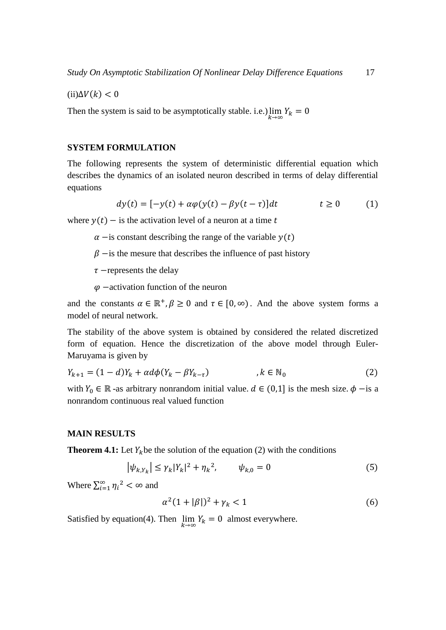$(ii)\Delta V(k) < 0$ 

Then the system is said to be asymptotically stable. i.e.)  $\lim_{k \to \infty} Y_k = 0$ 

#### **SYSTEM FORMULATION**

The following represents the system of deterministic differential equation which describes the dynamics of an isolated neuron described in terms of delay differential equations

$$
dy(t) = [-y(t) + \alpha \varphi(y(t) - \beta y(t - \tau)]dt \qquad t \ge 0 \qquad (1)
$$

where  $y(t)$  – is the activation level of a neuron at a time t

- $\alpha$  −is constant describing the range of the variable  $y(t)$
- $\beta$  −is the mesure that describes the influence of past history
- $\tau$  –represents the delay
- $\varphi$  −activation function of the neuron

and the constants  $\alpha \in \mathbb{R}^+, \beta \ge 0$  and  $\tau \in [0, \infty)$ . And the above system forms a model of neural network.

The stability of the above system is obtained by considered the related discretized form of equation. Hence the discretization of the above model through Euler-Maruyama is given by

$$
Y_{k+1} = (1-d)Y_k + \alpha d\phi (Y_k - \beta Y_{k-\tau}) \qquad \qquad, k \in \mathbb{N}_0
$$

with  $Y_0 \in \mathbb{R}$  -as arbitrary nonrandom initial value.  $d \in (0,1]$  is the mesh size.  $\phi$  -is a nonrandom continuous real valued function

#### **MAIN RESULTS**

**Theorem 4.1:** Let  $Y_k$  be the solution of the equation (2) with the conditions

$$
|\psi_{k,Y_k}| \le \gamma_k |Y_k|^2 + {\eta_k}^2, \qquad \psi_{k,0} = 0 \tag{5}
$$

Where  $\sum_{i=1}^{\infty} \eta_i^2 < \infty$  and

$$
\alpha^2 (1 + |\beta|)^2 + \gamma_k < 1 \tag{6}
$$

Satisfied by equation(4). Then  $\lim_{k \to \infty} Y_k = 0$  almost everywhere.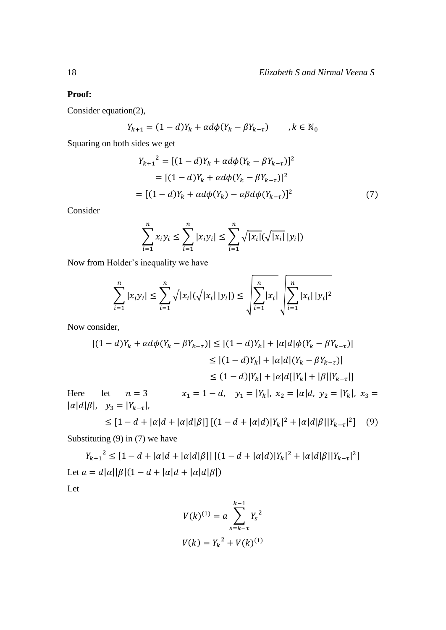## **Proof:**

Consider equation(2),

$$
Y_{k+1} = (1-d)Y_k + \alpha d\phi (Y_k - \beta Y_{k-\tau}) \qquad k \in \mathbb{N}_0
$$

Squaring on both sides we get

$$
Y_{k+1}^{2} = [(1-d)Y_{k} + \alpha d\phi (Y_{k} - \beta Y_{k-\tau})]^{2}
$$
  
= [(1-d)Y\_{k} + \alpha d\phi (Y\_{k} - \beta Y\_{k-\tau})]^{2}  
= [(1-d)Y\_{k} + \alpha d\phi (Y\_{k}) - \alpha \beta d\phi (Y\_{k-\tau})]^{2} (7)

Consider

$$
\sum_{i=1}^{n} x_i y_i \le \sum_{i=1}^{n} |x_i y_i| \le \sum_{i=1}^{n} \sqrt{|x_i|} (\sqrt{|x_i|} |y_i|)
$$

Now from Holder's inequality we have

$$
\sum_{i=1}^{n} |x_i y_i| \leq \sum_{i=1}^{n} \sqrt{|x_i|} (\sqrt{|x_i|} |y_i|) \leq \sqrt{\sum_{i=1}^{n} |x_i|} \sqrt{\sum_{i=1}^{n} |x_i| |y_i|^2}
$$

Now consider,

$$
|(1-d)Y_k + \alpha d\phi(Y_k - \beta Y_{k-\tau})| \le |(1-d)Y_k| + |\alpha|d|\phi(Y_k - \beta Y_{k-\tau})|
$$
  
\n
$$
\le |(1-d)Y_k| + |\alpha|d|(Y_k - \beta Y_{k-\tau})|
$$
  
\n
$$
\le (1-d)|Y_k| + |\alpha|d[|Y_k| + |\beta||Y_{k-\tau}|]
$$
  
\nHere let  $n = 3$   $x_1 = 1 - d$ ,  $y_1 = |Y_k|$ ,  $x_2 = |\alpha|d$ ,  $y_2 = |Y_k|$ ,  $x_3 = |\alpha|d|\beta|$ ,  $y_3 = |Y_{k-\tau}|$ ,

$$
\leq [1 - d + |\alpha|d + |\alpha|d|\beta|] [(1 - d + |\alpha|d)|Y_k|^2 + |\alpha|d|\beta||Y_{k-\tau}|^2] \tag{9}
$$

Substituting (9) in (7) we have

 $Y_{k+1}^2 \leq [1-d+|\alpha|d+|\alpha|d|\beta|] [(1-d+|\alpha|d)|Y_k|^2+|\alpha|d|\beta||Y_{k-1}|^2]$ Let  $a = d|\alpha||\beta|(1 - d + |\alpha|d + |\alpha|d|\beta|)$ 

Let

$$
V(k)^{(1)} = a \sum_{s=k-\tau}^{k-1} Y_s^2
$$
  

$$
V(k) = Y_k^2 + V(k)^{(1)}
$$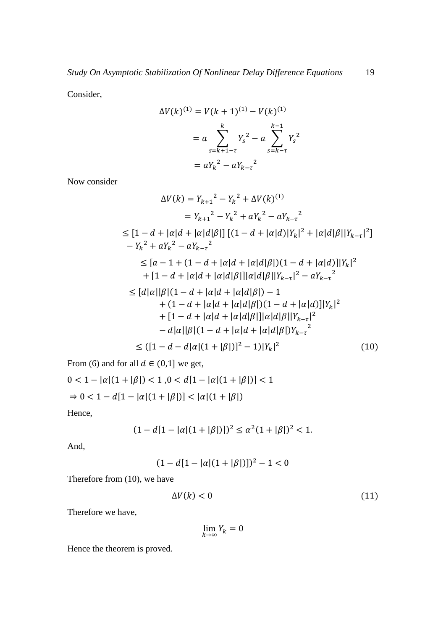Consider,

$$
\Delta V(k)^{(1)} = V(k+1)^{(1)} - V(k)^{(1)}
$$

$$
= a \sum_{s=k+1-\tau}^{k} Y_s^2 - a \sum_{s=k-\tau}^{k-1} Y_s^2
$$

$$
= aY_k^2 - aY_{k-\tau}^2
$$

Now consider

$$
\Delta V(k) = Y_{k+1}^{2} - Y_{k}^{2} + \Delta V(k)^{(1)}
$$
  
\n
$$
= Y_{k+1}^{2} - Y_{k}^{2} + aY_{k}^{2} - aY_{k-\tau}^{2}
$$
  
\n
$$
\leq [1 - d + |\alpha|d + |\alpha|d|\beta|] [(1 - d + |\alpha|d)|Y_{k}|^{2} + |\alpha|d|\beta||Y_{k-\tau}|^{2}]
$$
  
\n
$$
- Y_{k}^{2} + aY_{k}^{2} - aY_{k-\tau}^{2}
$$
  
\n
$$
\leq [a - 1 + (1 - d + |\alpha|d + |\alpha|d|\beta|)(1 - d + |\alpha|d)]|Y_{k}|^{2}
$$
  
\n
$$
+ [1 - d + |\alpha|d + |\alpha|d|\beta|] |\alpha|d|\beta||Y_{k-\tau}|^{2} - aY_{k-\tau}^{2}
$$
  
\n
$$
\leq [d|\alpha||\beta|(1 - d + |\alpha|d + |\alpha|d|\beta|) - 1
$$
  
\n
$$
+ (1 - d + |\alpha|d + |\alpha|d|\beta|)(1 - d + |\alpha|d)||Y_{k}|^{2}
$$
  
\n
$$
+ [1 - d + |\alpha|d + |\alpha|d|\beta|] |\alpha|d|\beta||Y_{k-\tau}|^{2}
$$
  
\n
$$
- d|\alpha||\beta|(1 - d + |\alpha|d + |\alpha|d|\beta|)Y_{k-\tau}^{2}
$$
  
\n
$$
\leq ([1 - d - d|\alpha|(1 + |\beta|)]^{2} - 1)|Y_{k}|^{2}
$$
 (10)

From (6) and for all  $d \in (0,1]$  we get,

$$
0 < 1 - |\alpha|(1 + |\beta|) < 1, 0 < d[1 - |\alpha|(1 + |\beta|)] < 1
$$
\n
$$
\Rightarrow 0 < 1 - d[1 - |\alpha|(1 + |\beta|)] < |\alpha|(1 + |\beta|)
$$

Hence,

$$
(1 - d[1 - |\alpha|(1 + |\beta|))]^2 \le \alpha^2 (1 + |\beta|)^2 < 1.
$$

And,

$$
(1 - d[1 - |\alpha|(1 + |\beta|))]^2 - 1 < 0
$$

Therefore from (10), we have

$$
\Delta V(k) < 0 \tag{11}
$$

Therefore we have,

$$
\lim_{k\to\infty}Y_k=0
$$

Hence the theorem is proved.